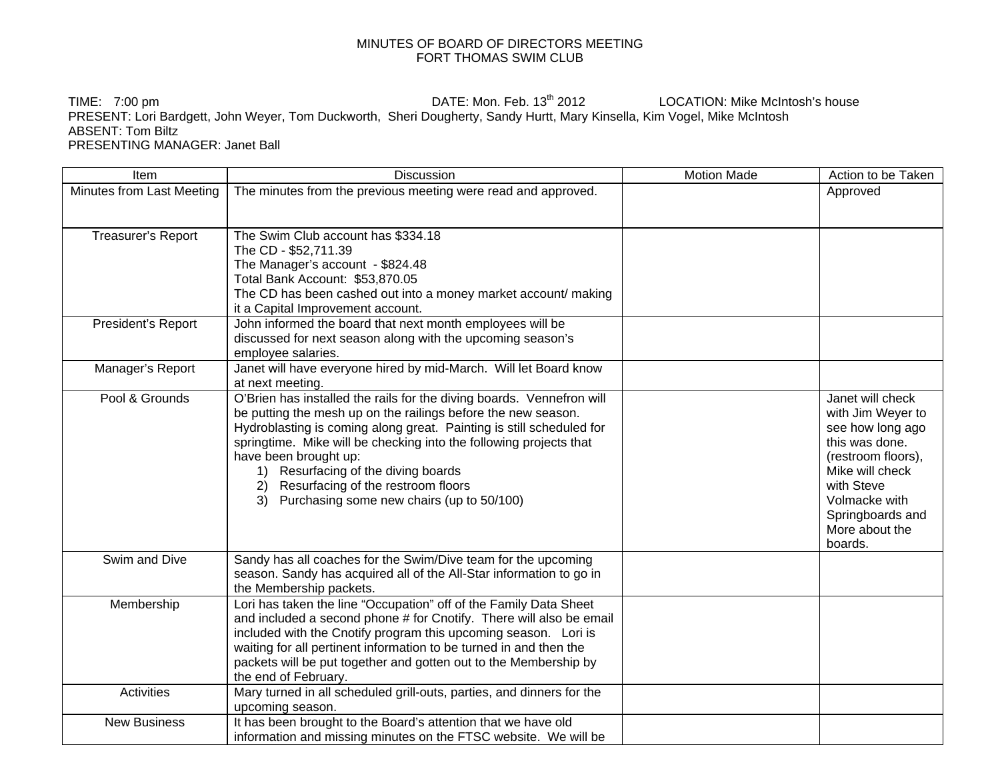## MINUTES OF BOARD OF DIRECTORS MEETING FORT THOMAS SWIM CLUB

TIME: 7:00 pm **DATE:** Mon. Feb. 13<sup>th</sup> 2012 LOCATION: Mike McIntosh's house PRESENT: Lori Bardgett, John Weyer, Tom Duckworth, Sheri Dougherty, Sandy Hurtt, Mary Kinsella, Kim Vogel, Mike McIntosh ABSENT: Tom Biltz PRESENTING MANAGER: Janet Ball

| Item                      | Discussion                                                                                                                                                                                                                                                                                                                                                                                                                                       | <b>Motion Made</b> | Action to be Taken                                                                                                                                                                                   |
|---------------------------|--------------------------------------------------------------------------------------------------------------------------------------------------------------------------------------------------------------------------------------------------------------------------------------------------------------------------------------------------------------------------------------------------------------------------------------------------|--------------------|------------------------------------------------------------------------------------------------------------------------------------------------------------------------------------------------------|
| Minutes from Last Meeting | The minutes from the previous meeting were read and approved.                                                                                                                                                                                                                                                                                                                                                                                    |                    | Approved                                                                                                                                                                                             |
| Treasurer's Report        | The Swim Club account has \$334.18<br>The CD - \$52,711.39<br>The Manager's account - \$824.48<br>Total Bank Account: \$53,870.05<br>The CD has been cashed out into a money market account/ making<br>it a Capital Improvement account.                                                                                                                                                                                                         |                    |                                                                                                                                                                                                      |
| President's Report        | John informed the board that next month employees will be<br>discussed for next season along with the upcoming season's<br>employee salaries.                                                                                                                                                                                                                                                                                                    |                    |                                                                                                                                                                                                      |
| Manager's Report          | Janet will have everyone hired by mid-March. Will let Board know<br>at next meeting.                                                                                                                                                                                                                                                                                                                                                             |                    |                                                                                                                                                                                                      |
| Pool & Grounds            | O'Brien has installed the rails for the diving boards. Vennefron will<br>be putting the mesh up on the railings before the new season.<br>Hydroblasting is coming along great. Painting is still scheduled for<br>springtime. Mike will be checking into the following projects that<br>have been brought up:<br>1) Resurfacing of the diving boards<br>2) Resurfacing of the restroom floors<br>Purchasing some new chairs (up to 50/100)<br>3) |                    | Janet will check<br>with Jim Weyer to<br>see how long ago<br>this was done.<br>(restroom floors),<br>Mike will check<br>with Steve<br>Volmacke with<br>Springboards and<br>More about the<br>boards. |
| Swim and Dive             | Sandy has all coaches for the Swim/Dive team for the upcoming<br>season. Sandy has acquired all of the All-Star information to go in<br>the Membership packets.                                                                                                                                                                                                                                                                                  |                    |                                                                                                                                                                                                      |
| Membership                | Lori has taken the line "Occupation" off of the Family Data Sheet<br>and included a second phone # for Cnotify. There will also be email<br>included with the Cnotify program this upcoming season. Lori is<br>waiting for all pertinent information to be turned in and then the<br>packets will be put together and gotten out to the Membership by<br>the end of February.                                                                    |                    |                                                                                                                                                                                                      |
| <b>Activities</b>         | Mary turned in all scheduled grill-outs, parties, and dinners for the<br>upcoming season.                                                                                                                                                                                                                                                                                                                                                        |                    |                                                                                                                                                                                                      |
| <b>New Business</b>       | It has been brought to the Board's attention that we have old<br>information and missing minutes on the FTSC website. We will be                                                                                                                                                                                                                                                                                                                 |                    |                                                                                                                                                                                                      |